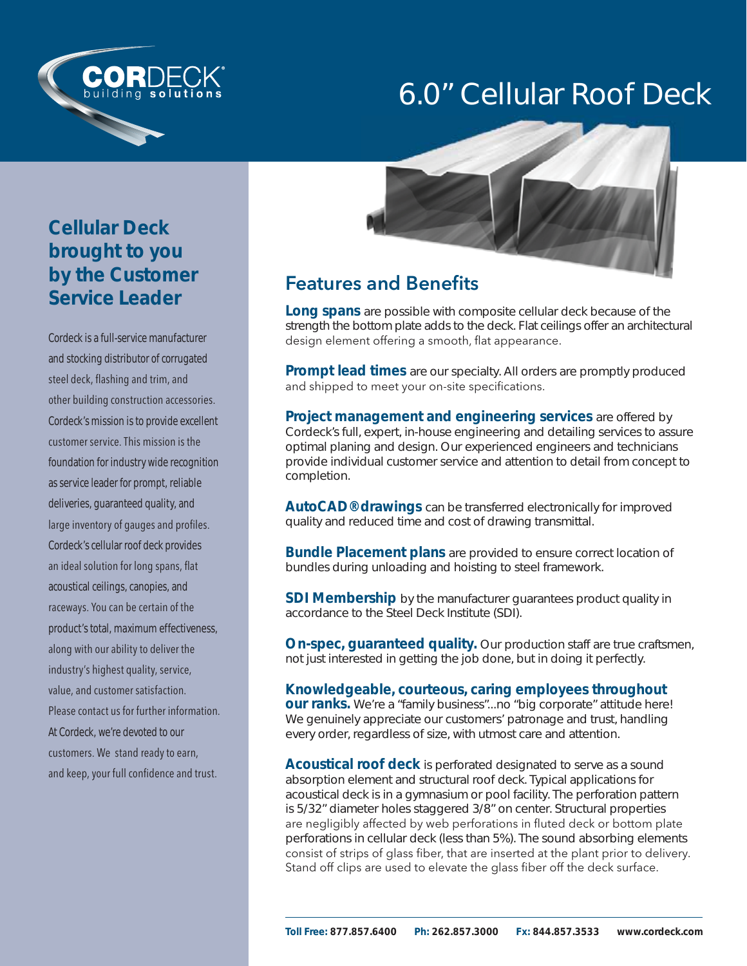



Cordeck is a full-service manufacturer and stocking distributor of corrugated steel deck, flashing and trim, and other building construction accessories. Cordeck's mission is to provide excellent customer service. This mission is the foundation for industry wide recognition as service leader for prompt, reliable deliveries, guaranteed quality, and large inventory of gauges and profiles. Cordeck's cellular roof deck provides an ideal solution for long spans, flat acoustical ceilings, canopies, and raceways. You can be certain of the product's total, maximum effectiveness, along with our ability to deliver the industry's highest quality, service, value, and customer satisfaction. Please contact us for further information. At Cordeck, we're devoted to our customers. We stand ready to earn, and keep, your full confidence and trust.



### **Features and Benefits**

**Long spans** are possible with composite cellular deck because of the strength the bottom plate adds to the deck. Flat ceilings offer an architectural design element offering a smooth, flat appearance.

**Prompt lead times** are our specialty. All orders are promptly produced and shipped to meet your on-site specifications.

**Project management and engineering services** are offered by Cordeck's full, expert, in-house engineering and detailing services to assure optimal planing and design. Our experienced engineers and technicians provide individual customer service and attention to detail from concept to completion.

**AutoCAD® drawings** can be transferred electronically for improved quality and reduced time and cost of drawing transmittal.

**Bundle Placement plans** are provided to ensure correct location of bundles during unloading and hoisting to steel framework.

**SDI Membership** by the manufacturer quarantees product quality in accordance to the Steel Deck Institute (SDI).

**On-spec, guaranteed quality.** Our production staff are true craftsmen, not just interested in getting the job done, but in doing it perfectly.

**Knowledgeable, courteous, caring employees throughout our ranks.** We're a "family business"...no "big corporate" attitude here! We genuinely appreciate our customers' patronage and trust, handling every order, regardless of size, with utmost care and attention.

**Acoustical roof deck** is perforated designated to serve as a sound absorption element and structural roof deck. Typical applications for acoustical deck is in a gymnasium or pool facility. The perforation pattern is 5/32" diameter holes staggered 3/8" on center. Structural properties are negligibly affected by web perforations in fluted deck or bottom plate perforations in cellular deck (less than 5%). The sound absorbing elements consist of strips of glass fiber, that are inserted at the plant prior to delivery. Stand off clips are used to elevate the glass fiber off the deck surface.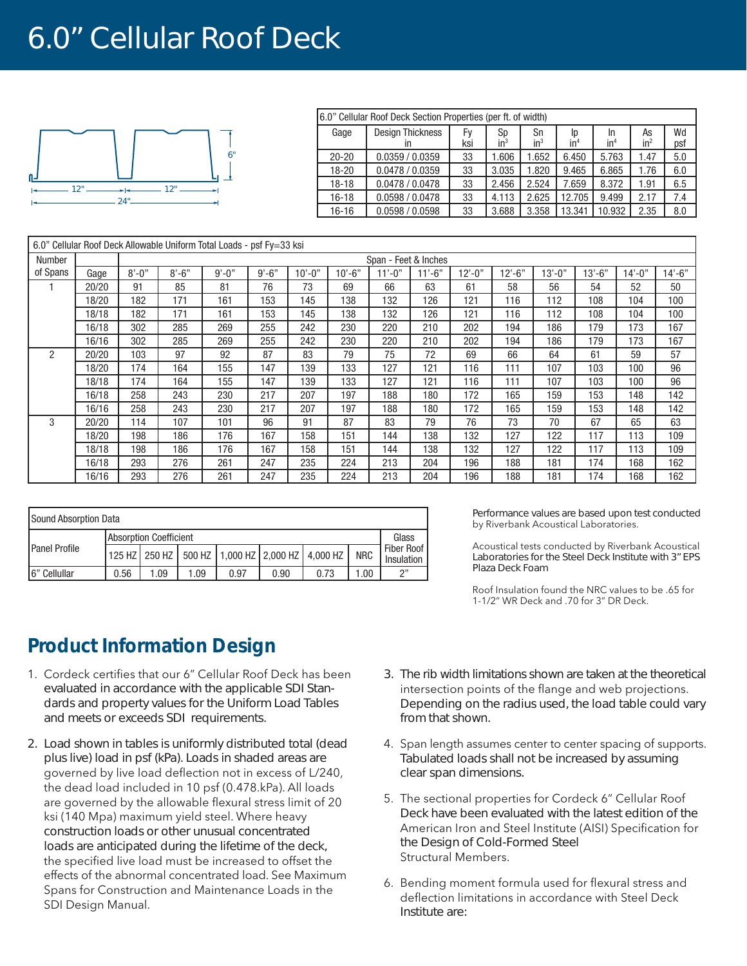# 6.0" Cellular Roof Deck



| 6.0" Cellular Roof Deck Section Properties (per ft. of width) |                               |           |              |              |                       |                       |                       |           |
|---------------------------------------------------------------|-------------------------------|-----------|--------------|--------------|-----------------------|-----------------------|-----------------------|-----------|
| Gage                                                          | <b>Design Thickness</b><br>ın | Fv<br>ksi | Sp<br>$in^3$ | Sn<br>$in^3$ | Ip<br>in <sup>4</sup> | In<br>in <sup>4</sup> | As<br>in <sup>2</sup> | Wd<br>psf |
| $20 - 20$                                                     | 0.0359 / 0.0359               | 33        | 1.606        | 1.652        | 6.450                 | 5.763                 | 1.47                  | 5.0       |
| 18-20                                                         | 0.0478 / 0.0359               | 33        | 3.035        | 1.820        | 9.465                 | 6.865                 | 1.76                  | 6.0       |
| $18 - 18$                                                     | 0.0478 / 0.0478               | 33        | 2.456        | 2.524        | 7.659                 | 8.372                 | 1.91                  | 6.5       |
| $16 - 18$                                                     | 0.0598 / 0.0478               | 33        | 4.113        | 2.625        | 12.705                | 9.499                 | 2.17                  | 7.4       |
| $16 - 16$                                                     | 0.0598 / 0.0598               | 33        | 3.688        | 3.358        | 13.341                | 10.932                | 2.35                  | 8.0       |

| 6.0" Cellular Roof Deck Allowable Uniform Total Loads - psf Fy=33 ksi |       |                      |           |            |           |           |          |           |        |        |           |        |            |            |           |
|-----------------------------------------------------------------------|-------|----------------------|-----------|------------|-----------|-----------|----------|-----------|--------|--------|-----------|--------|------------|------------|-----------|
| Number                                                                |       | Span - Feet & Inches |           |            |           |           |          |           |        |        |           |        |            |            |           |
| of Spans                                                              | Gage  | $8' - 0''$           | $8' - 6"$ | $9' - 0''$ | $9' - 6"$ | $10 - 0"$ | $10'-6"$ | $11 - 0"$ | 11'-6" | 12'-0" | $12 - 6"$ | 13'-0" | $13' - 6"$ | $14 - 0$ " | $14 - 6"$ |
|                                                                       | 20/20 | 91                   | 85        | 81         | 76        | 73        | 69       | 66        | 63     | 61     | 58        | 56     | 54         | 52         | 50        |
|                                                                       | 18/20 | 182                  | 171       | 161        | 153       | 145       | 138      | 132       | 126    | 121    | 116       | 112    | 108        | 104        | 100       |
|                                                                       | 18/18 | 182                  | 171       | 161        | 153       | 145       | 138      | 132       | 126    | 121    | 116       | 112    | 108        | 104        | 100       |
|                                                                       | 16/18 | 302                  | 285       | 269        | 255       | 242       | 230      | 220       | 210    | 202    | 194       | 186    | 179        | 173        | 167       |
|                                                                       | 16/16 | 302                  | 285       | 269        | 255       | 242       | 230      | 220       | 210    | 202    | 194       | 186    | 179        | 173        | 167       |
| $\overline{2}$                                                        | 20/20 | 103                  | 97        | 92         | 87        | 83        | 79       | 75        | 72     | 69     | 66        | 64     | 61         | 59         | 57        |
|                                                                       | 18/20 | 174                  | 164       | 155        | 147       | 139       | 133      | 127       | 121    | 116    | 111       | 107    | 103        | 100        | 96        |
|                                                                       | 18/18 | 174                  | 164       | 155        | 147       | 139       | 133      | 127       | 121    | 116    | 111       | 107    | 103        | 100        | 96        |
|                                                                       | 16/18 | 258                  | 243       | 230        | 217       | 207       | 197      | 188       | 180    | 172    | 165       | 159    | 153        | 148        | 142       |
|                                                                       | 16/16 | 258                  | 243       | 230        | 217       | 207       | 197      | 188       | 180    | 172    | 165       | 159    | 153        | 148        | 142       |
| 3                                                                     | 20/20 | 114                  | 107       | 101        | 96        | 91        | 87       | 83        | 79     | 76     | 73        | 70     | 67         | 65         | 63        |
|                                                                       | 18/20 | 198                  | 186       | 176        | 167       | 158       | 151      | 144       | 138    | 132    | 127       | 122    | 117        | 113        | 109       |
|                                                                       | 18/18 | 198                  | 186       | 176        | 167       | 158       | 151      | 144       | 138    | 132    | 127       | 122    | 117        | 113        | 109       |
|                                                                       | 16/18 | 293                  | 276       | 261        | 247       | 235       | 224      | 213       | 204    | 196    | 188       | 181    | 174        | 168        | 162       |
|                                                                       | 16/16 | 293                  | 276       | 261        | 247       | 235       | 224      | 213       | 204    | 196    | 188       | 181    | 174        | 168        | 162       |

| Sound Absorption Data |                               |     |     |      |      |                                                 |            |                          |  |
|-----------------------|-------------------------------|-----|-----|------|------|-------------------------------------------------|------------|--------------------------|--|
| <b>Panel Profile</b>  | <b>Absorption Coefficient</b> |     |     |      |      |                                                 |            |                          |  |
|                       |                               |     |     |      |      | 125 HZ 250 HZ 500 HZ 1,000 HZ 2,000 HZ 4,000 HZ | <b>NRC</b> | Fiber Roof<br>Insulation |  |
| 6" Cellullar          | 0.56                          | .09 | .09 | 0.97 | 0.90 | 0.73                                            | 0.001      | יי ר                     |  |

Performance values are based upon test conducted by Riverbank Acoustical Laboratories.

Acoustical tests conducted by Riverbank Acoustical Laboratories for the Steel Deck Institute with 3" EPS Plaza Deck Foam

Roof Insulation found the NRC values to be .65 for 1-1/2" WR Deck and .70 for 3" DR Deck.

### **Product Information Design**

- 1. Cordeck certifies that our 6" Cellular Roof Deck has been evaluated in accordance with the applicable SDI Standards and property values for the Uniform Load Tables and meets or exceeds SDI requirements.
- 2. Load shown in tables is uniformly distributed total (dead plus live) load in psf (kPa). Loads in shaded areas are governed by live load deflection not in excess of L/240, the dead load included in 10 psf (0.478.kPa). All loads are governed by the allowable flexural stress limit of 20 ksi (140 Mpa) maximum yield steel. Where heavy construction loads or other unusual concentrated loads are anticipated during the lifetime of the deck, the specified live load must be increased to offset the effects of the abnormal concentrated load. See Maximum Spans for Construction and Maintenance Loads in the SDI Design Manual.
- 3. The rib width limitations shown are taken at the theoretical intersection points of the flange and web projections. Depending on the radius used, the load table could vary from that shown.
- 4. Span length assumes center to center spacing of supports. Tabulated loads shall not be increased by assuming clear span dimensions.
- 5. The sectional properties for Cordeck 6" Cellular Roof Deck have been evaluated with the latest edition of the American Iron and Steel Institute (AISI) Specification for the Design of Cold-Formed Steel Structural Members.
- 6. Bending moment formula used for flexural stress and deflection limitations in accordance with Steel Deck Institute are: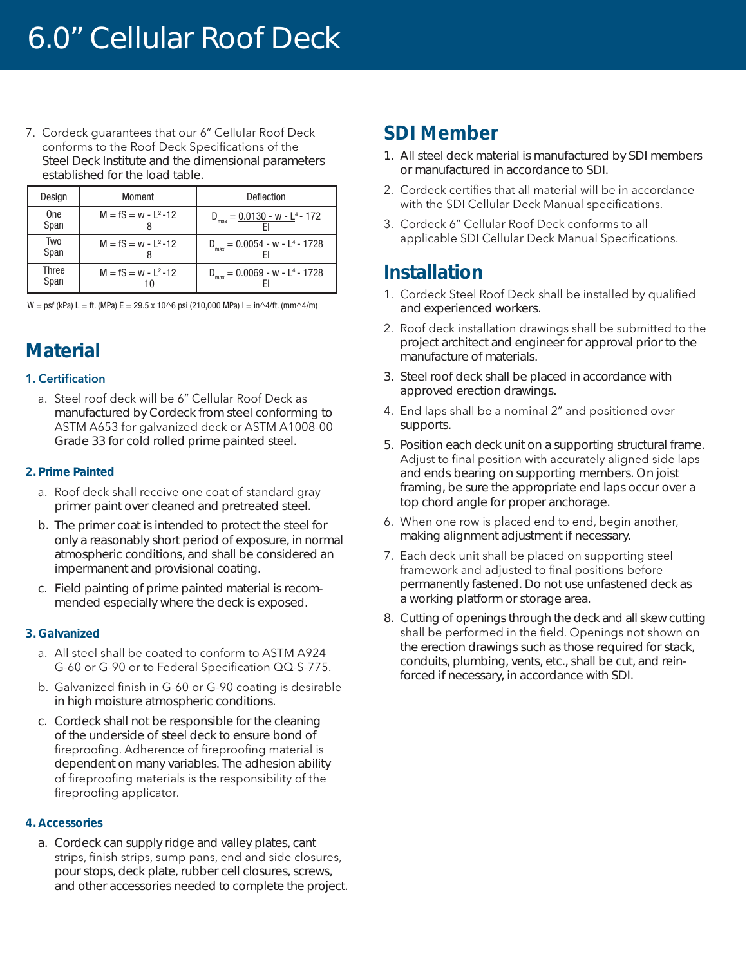7. Cordeck guarantees that our 6" Cellular Roof Deck conforms to the Roof Deck Specifications of the Steel Deck Institute and the dimensional parameters established for the load table.

| Design             | Moment                  | Deflection                                                |
|--------------------|-------------------------|-----------------------------------------------------------|
| <b>One</b><br>Span | $M = fS = w - L^2 - 12$ | $D_{\text{max}} = 0.0130 - W - L^4 - 172$                 |
| Two<br>Span        | $M = fS = w - L2 - 12$  | $D_{max} = 0.0054 - w - L^4 - 1728$                       |
| Three<br>Span      | $M = fS = w - L2 - 12$  | $v_{\rm g} = 0.0069 - w - L^4 - 1728$<br>$D_{\text{max}}$ |

 $W = psf$  (kPa) L = ft. (MPa) E = 29.5 x 10^6 psi (210,000 MPa) I = in^4/ft. (mm^4/m)

## **Material**

#### **1. Certification**

a. Steel roof deck will be 6" Cellular Roof Deck as manufactured by Cordeck from steel conforming to ASTM A653 for galvanized deck or ASTM A1008-00 Grade 33 for cold rolled prime painted steel.

### **2. Prime Painted**

- a. Roof deck shall receive one coat of standard gray primer paint over cleaned and pretreated steel.
- b. The primer coat is intended to protect the steel for only a reasonably short period of exposure, in normal atmospheric conditions, and shall be considered an impermanent and provisional coating.
- c. Field painting of prime painted material is recommended especially where the deck is exposed.

### **3. Galvanized**

- a. All steel shall be coated to conform to ASTM A924 G-60 or G-90 or to Federal Specification QQ-S-775.
- b. Galvanized finish in G-60 or G-90 coating is desirable in high moisture atmospheric conditions.
- c. Cordeck shall not be responsible for the cleaning of the underside of steel deck to ensure bond of fireproofing. Adherence of fireproofing material is dependent on many variables. The adhesion ability of fireproofing materials is the responsibility of the fireproofing applicator.

#### **4. Accessories**

a. Cordeck can supply ridge and valley plates, cant strips, finish strips, sump pans, end and side closures, pour stops, deck plate, rubber cell closures, screws, and other accessories needed to complete the project.

### **SDI Member**

- 1. All steel deck material is manufactured by SDI members or manufactured in accordance to SDI.
- 2. Cordeck certifies that all material will be in accordance with the SDI Cellular Deck Manual specifications.
- 3. Cordeck 6" Cellular Roof Deck conforms to all applicable SDI Cellular Deck Manual Specifications.

### **Installation**

- 1. Cordeck Steel Roof Deck shall be installed by qualified and experienced workers.
- 2. Roof deck installation drawings shall be submitted to the project architect and engineer for approval prior to the manufacture of materials.
- 3. Steel roof deck shall be placed in accordance with approved erection drawings.
- 4. End laps shall be a nominal 2" and positioned over supports.
- 5. Position each deck unit on a supporting structural frame. Adjust to final position with accurately aligned side laps and ends bearing on supporting members. On joist framing, be sure the appropriate end laps occur over a top chord angle for proper anchorage.
- 6. When one row is placed end to end, begin another, making alignment adjustment if necessary.
- 7. Each deck unit shall be placed on supporting steel framework and adjusted to final positions before permanently fastened. Do not use unfastened deck as a working platform or storage area.
- 8. Cutting of openings through the deck and all skew cutting shall be performed in the field. Openings not shown on the erection drawings such as those required for stack, conduits, plumbing, vents, etc., shall be cut, and reinforced if necessary, in accordance with SDI.